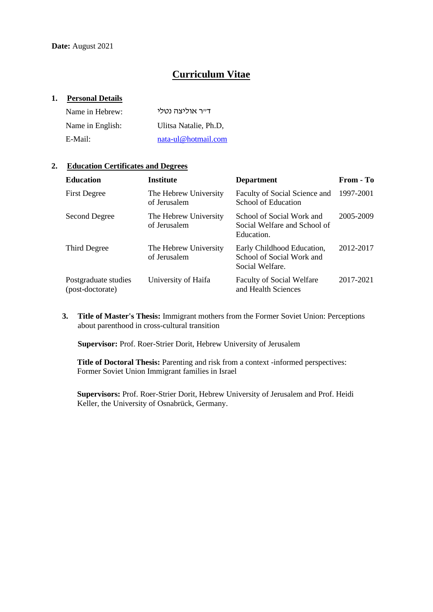# **Curriculum Vitae**

### **1. Personal Details**

| Name in Hebrew:  | דייר אוליצה נטלי      |
|------------------|-----------------------|
| Name in English: | Ulitsa Natalie, Ph.D. |
| E-Mail:          | nata-ul@hotmail.com   |

# **2. Education Certificates and Degrees**

| <b>Education</b>                         | <b>Institute</b>                      | <b>Department</b>                                                          | From - To |
|------------------------------------------|---------------------------------------|----------------------------------------------------------------------------|-----------|
| <b>First Degree</b>                      | The Hebrew University<br>of Jerusalem | Faculty of Social Science and<br>School of Education                       | 1997-2001 |
| Second Degree                            | The Hebrew University<br>of Jerusalem | School of Social Work and<br>Social Welfare and School of<br>Education.    | 2005-2009 |
| Third Degree                             | The Hebrew University<br>of Jerusalem | Early Childhood Education,<br>School of Social Work and<br>Social Welfare. | 2012-2017 |
| Postgraduate studies<br>(post-doctorate) | University of Haifa                   | <b>Faculty of Social Welfare</b><br>and Health Sciences                    | 2017-2021 |

**3. Title of Master's Thesis:** Immigrant mothers from the Former Soviet Union: Perceptions about parenthood in cross-cultural transition

**Supervisor:** Prof. Roer-Strier Dorit, Hebrew University of Jerusalem

**Title of Doctoral Thesis:** Parenting and risk from a context -informed perspectives: Former Soviet Union Immigrant families in Israel

**Supervisors:** Prof. Roer-Strier Dorit, Hebrew University of Jerusalem and Prof. Heidi Keller, the University of Osnabrück, Germany.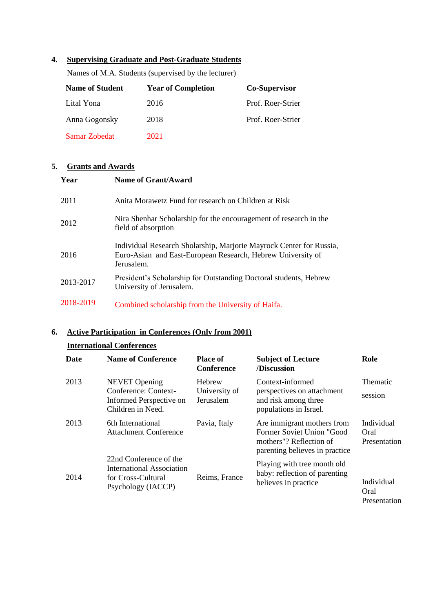### **4. Supervising Graduate and Post-Graduate Students**

Names of M.A. Students (supervised by the lecturer)

| <b>Name of Student</b> | <b>Year of Completion</b> | <b>Co-Supervisor</b> |
|------------------------|---------------------------|----------------------|
| Lital Yona             | 2016                      | Prof. Roer-Strier    |
| Anna Gogonsky          | 2018                      | Prof. Roer-Strier    |
| Samar Zobedat          | 2021                      |                      |

# **5. Grants and Awards**

| Year      | <b>Name of Grant/Award</b>                                                                                                                       |
|-----------|--------------------------------------------------------------------------------------------------------------------------------------------------|
| 2011      | Anita Morawetz Fund for research on Children at Risk                                                                                             |
| 2012      | Nira Shenhar Scholarship for the encouragement of research in the<br>field of absorption                                                         |
| 2016      | Individual Research Sholarship, Marjorie Mayrock Center for Russia,<br>Euro-Asian and East-European Research, Hebrew University of<br>Jerusalem. |
| 2013-2017 | President's Scholarship for Outstanding Doctoral students, Hebrew<br>University of Jerusalem.                                                    |
| 2018-2019 | Combined scholarship from the University of Haifa.                                                                                               |

# **6. Active Participation in Conferences (Only from 2001)**

# **International Conferences**

| Date | <b>Name of Conference</b>                                                                       | <b>Place of</b><br><b>Conference</b> | <b>Subject of Lecture</b><br>/Discussion                                                                             | Role                               |
|------|-------------------------------------------------------------------------------------------------|--------------------------------------|----------------------------------------------------------------------------------------------------------------------|------------------------------------|
| 2013 | <b>NEVET</b> Opening<br>Conference: Context-<br>Informed Perspective on<br>Children in Need.    | Hebrew<br>University of<br>Jerusalem | Context-informed<br>perspectives on attachment<br>and risk among three<br>populations in Israel.                     | <b>Thematic</b><br>session         |
| 2013 | 6th International<br><b>Attachment Conference</b>                                               | Pavia, Italy                         | Are immigrant mothers from<br>Former Soviet Union "Good<br>mothers"? Reflection of<br>parenting believes in practice | Individual<br>Oral<br>Presentation |
| 2014 | 22nd Conference of the<br>International Association<br>for Cross-Cultural<br>Psychology (IACCP) | Reims, France                        | Playing with tree month old<br>baby: reflection of parenting<br>believes in practice                                 | Individual<br>Oral<br>Presentation |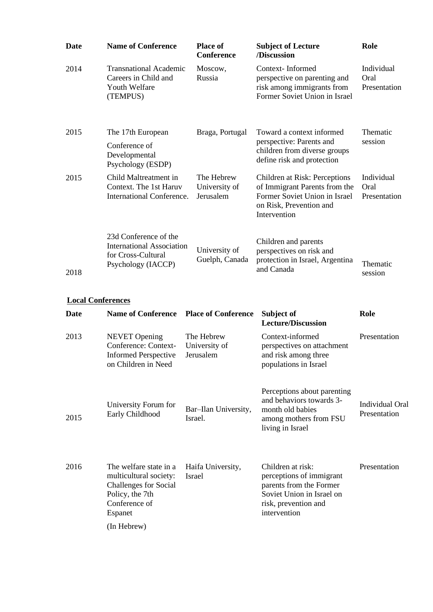| Date                     | <b>Name of Conference</b>                                                                                                               |        | <b>Place of</b><br><b>Conference</b>     | <b>Subject of Lecture</b><br>/Discussion                                                                                                      | Role                               |
|--------------------------|-----------------------------------------------------------------------------------------------------------------------------------------|--------|------------------------------------------|-----------------------------------------------------------------------------------------------------------------------------------------------|------------------------------------|
| 2014                     | <b>Transnational Academic</b><br>Careers in Child and<br>Youth Welfare<br>(TEMPUS)                                                      |        | Moscow,<br>Russia                        | Context-Informed<br>perspective on parenting and<br>risk among immigrants from<br>Former Soviet Union in Israel                               | Individual<br>Oral<br>Presentation |
| 2015                     | The 17th European                                                                                                                       |        | Braga, Portugal                          | Toward a context informed<br>perspective: Parents and                                                                                         | Thematic<br>session                |
|                          | Conference of<br>Developmental<br>Psychology (ESDP)                                                                                     |        |                                          | children from diverse groups<br>define risk and protection                                                                                    |                                    |
| 2015                     | Child Maltreatment in<br>Context. The 1st Haruv<br><b>International Conference.</b>                                                     |        | The Hebrew<br>University of<br>Jerusalem | Children at Risk: Perceptions<br>of Immigrant Parents from the<br>Former Soviet Union in Israel<br>on Risk, Prevention and<br>Intervention    | Individual<br>Oral<br>Presentation |
|                          | 23d Conference of the<br><b>International Association</b><br>for Cross-Cultural<br>Psychology (IACCP)                                   |        | University of<br>Guelph, Canada          | Children and parents<br>perspectives on risk and<br>protection in Israel, Argentina<br>and Canada                                             | Thematic                           |
| 2018                     |                                                                                                                                         |        |                                          |                                                                                                                                               | session                            |
| <b>Local Conferences</b> |                                                                                                                                         |        |                                          |                                                                                                                                               |                                    |
| Date                     | <b>Name of Conference</b>                                                                                                               |        | <b>Place of Conference</b>               | Subject of<br><b>Lecture/Discussion</b>                                                                                                       | Role                               |
| 2013                     | <b>NEVET</b> Opening<br>Conference: Context-<br><b>Informed Perspective</b><br>on Children in Need                                      |        | The Hebrew<br>University of<br>Jerusalem | Context-informed<br>perspectives on attachment<br>and risk among three<br>populations in Israel                                               | Presentation                       |
| 2015                     | University Forum for<br>Early Childhood                                                                                                 |        | Bar-Ilan University,<br>Israel.          | Perceptions about parenting<br>and behaviors towards 3-<br>month old babies<br>among mothers from FSU<br>living in Israel                     | Individual Oral<br>Presentation    |
| 2016                     | The welfare state in a<br>multicultural society:<br>Challenges for Social<br>Policy, the 7th<br>Conference of<br>Espanet<br>(In Hebrew) | Israel | Haifa University,                        | Children at risk:<br>perceptions of immigrant<br>parents from the Former<br>Soviet Union in Israel on<br>risk, prevention and<br>intervention | Presentation                       |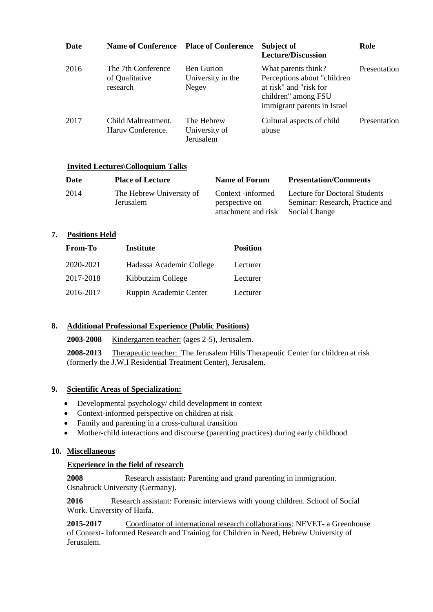| Date | Name of Conference Place of Conference           |                                                 | Subject of<br><b>Lecture/Discussion</b>                                                                                             | Role         |
|------|--------------------------------------------------|-------------------------------------------------|-------------------------------------------------------------------------------------------------------------------------------------|--------------|
| 2016 | The 7th Conference<br>of Qualitative<br>research | <b>Ben Gurion</b><br>University in the<br>Negev | What parents think?<br>Perceptions about "children"<br>at risk" and "risk for<br>children" among FSU<br>immigrant parents in Israel | Presentation |
| 2017 | Child Maltreatment.<br>Haruy Conference.         | The Hebrew<br>University of<br>Jerusalem        | Cultural aspects of child<br>abuse                                                                                                  | Presentation |

#### **Invited Lectures\Colloquium Talks**

| <b>Date</b> | <b>Place of Lecture</b>               | Name of Forum                       | <b>Presentation/Comments</b>                                            |
|-------------|---------------------------------------|-------------------------------------|-------------------------------------------------------------------------|
| 2014        | The Hebrew University of<br>Jerusalem | Context -informed<br>perspective on | <b>Lecture for Doctoral Students</b><br>Seminar: Research, Practice and |
|             |                                       | attachment and risk                 | Social Change                                                           |

# **7. Positions Held**

| <b>From-To</b> | <b>Institute</b>         | <b>Position</b> |
|----------------|--------------------------|-----------------|
| 2020-2021      | Hadassa Academic College | Lecturer        |
| 2017-2018      | Kibbutzim College        | Lecturer        |
| 2016-2017      | Ruppin Academic Center   | Lecturer        |

# **8. Additional Professional Experience (Public Positions)**

**2003-2008** Kindergarten teacher: (ages 2-5), Jerusalem.

**2008-2013** Therapeutic teacher: The Jerusalem Hills Therapeutic Center for children at risk (formerly the J.W.I Residential Treatment Center), Jerusalem.

#### **9. Scientific Areas of Specialization:**

- Developmental psychology/ child development in context
- Context-informed perspective on children at risk
- Family and parenting in a cross-cultural transition
- Mother-child interactions and discourse (parenting practices) during early childhood

### **10. Miscellaneous**

# **Experience in the field of research**

**2008** Research assistant**:** Parenting and grand parenting in immigration. Osnabruck University (Germany).

**2016** Research assistant: Forensic interviews with young children. School of Social Work. University of Haifa.

**2015-2017** Coordinator of international research collaborations: NEVET- a Greenhouse of Context- Informed Research and Training for Children in Need, Hebrew University of Jerusalem.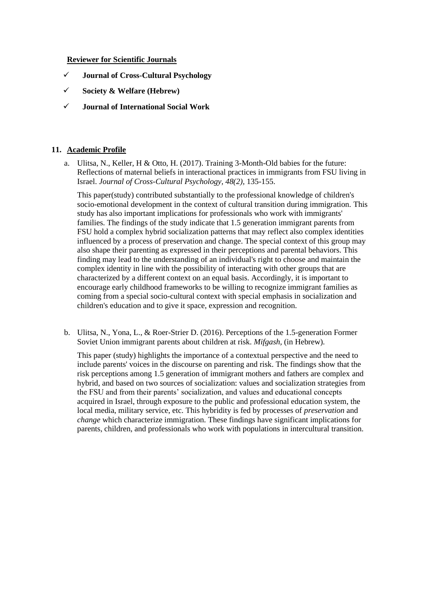#### **Reviewer for Scientific Journals**

- ✓ **Journal of Cross-Cultural Psychology**
- ✓ **Society & Welfare (Hebrew)**
- ✓ **Journal of International Social Work**

### **11. Academic Profile**

a. Ulitsa, N., Keller, H & Otto, H. (2017). Training 3-Month-Old babies for the future: Reflections of maternal beliefs in interactional practices in immigrants from FSU living in Israel. *Journal of Cross-Cultural Psychology, 48(2),* 135-155.

This paper(study) contributed substantially to the professional knowledge of children's socio-emotional development in the context of cultural transition during immigration. This study has also important implications for professionals who work with immigrants' families. The findings of the study indicate that 1.5 generation immigrant parents from FSU hold a complex hybrid socialization patterns that may reflect also complex identities influenced by a process of preservation and change. The special context of this group may also shape their parenting as expressed in their perceptions and parental behaviors. This finding may lead to the understanding of an individual's right to choose and maintain the complex identity in line with the possibility of interacting with other groups that are characterized by a different context on an equal basis. Accordingly, it is important to encourage early childhood frameworks to be willing to recognize immigrant families as coming from a special socio-cultural context with special emphasis in socialization and children's education and to give it space, expression and recognition.

b. Ulitsa, N., Yona, L., & Roer-Strier D. (2016). Perceptions of the 1.5-generation Former Soviet Union immigrant parents about children at risk. *Mifgash,* (in Hebrew)*.*

This paper (study) highlights the importance of a contextual perspective and the need to include parents' voices in the discourse on parenting and risk. The findings show that the risk perceptions among 1.5 generation of immigrant mothers and fathers are complex and hybrid, and based on two sources of socialization: values and socialization strategies from the FSU and from their parents' socialization, and values and educational concepts acquired in Israel, through exposure to the public and professional education system, the local media, military service, etc. This hybridity is fed by processes of *preservation* and *change* which characterize immigration. These findings have significant implications for parents, children, and professionals who work with populations in intercultural transition.